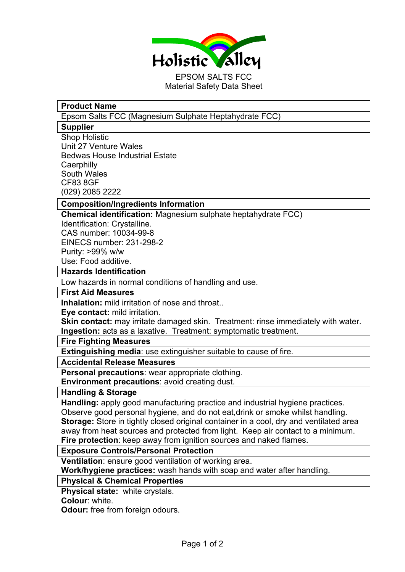

## **Product Name**

Epsom Salts FCC (Magnesium Sulphate Heptahydrate FCC)

### **Supplier**

Shop Holistic Unit 27 Venture Wales Bedwas House Industrial Estate **Caerphilly** South Wales CF83 8GF (029) 2085 2222

## **Composition/Ingredients Information**

**Chemical identification:** Magnesium sulphate heptahydrate FCC)

Identification: Crystalline. CAS number: 10034-99-8 EINECS number: 231-298-2 Purity: >99% w/w Use: Food additive.

#### **Hazards Identification**

Low hazards in normal conditions of handling and use.

#### **First Aid Measures**

**Inhalation:** mild irritation of nose and throat..

**Eye contact:** mild irritation.

**Skin contact:** may irritate damaged skin. Treatment: rinse immediately with water. **Ingestion:** acts as a laxative. Treatment: symptomatic treatment.

#### **Fire Fighting Measures**

**Extinguishing media**: use extinguisher suitable to cause of fire.

### **Accidental Release Measures**

**Personal precautions**: wear appropriate clothing.

**Environment precautions**: avoid creating dust.

#### **Handling & Storage**

**Handling:** apply good manufacturing practice and industrial hygiene practices. Observe good personal hygiene, and do not eat,drink or smoke whilst handling. **Storage:** Store in tightly closed original container in a cool, dry and ventilated area away from heat sources and protected from light. Keep air contact to a minimum. **Fire protection**: keep away from ignition sources and naked flames.

### **Exposure Controls/Personal Protection**

**Ventilation**: ensure good ventilation of working area.

**Work/hygiene practices:** wash hands with soap and water after handling.

### **Physical & Chemical Properties**

**Physical state:** white crystals.

**Colour**: white.

**Odour:** free from foreign odours.